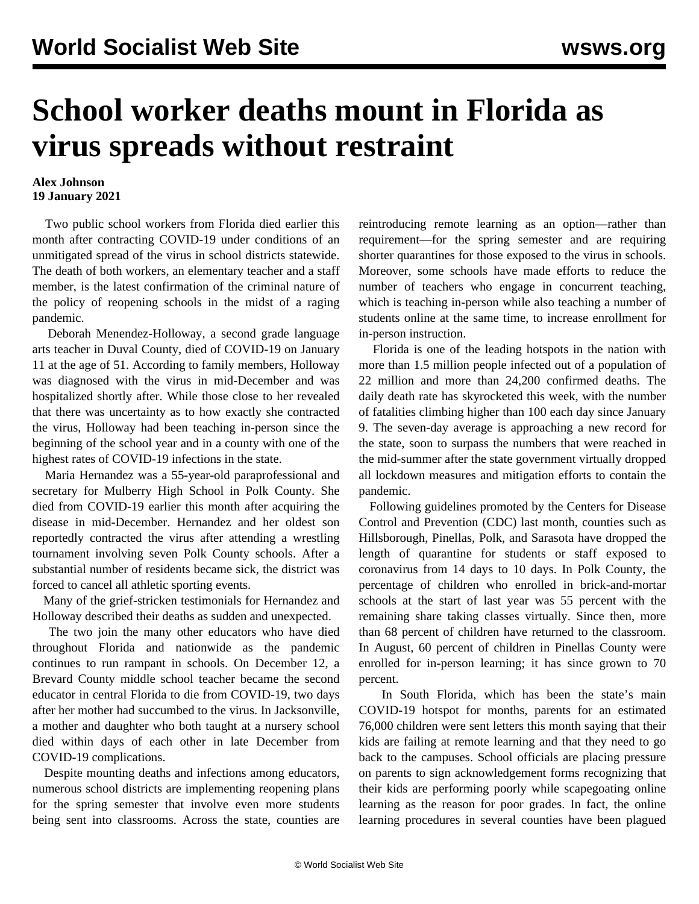## **School worker deaths mount in Florida as virus spreads without restraint**

## **Alex Johnson 19 January 2021**

 Two public school workers from Florida died earlier this month after contracting COVID-19 under conditions of an unmitigated spread of the virus in school districts statewide. The death of both workers, an elementary teacher and a staff member, is the latest confirmation of the criminal nature of the policy of reopening schools in the midst of a raging pandemic.

 Deborah Menendez-Holloway, a second grade language arts teacher in Duval County, died of COVID-19 on January 11 at the age of 51. According to family members, Holloway was diagnosed with the virus in mid-December and was hospitalized shortly after. While those close to her revealed that there was uncertainty as to how exactly she contracted the virus, Holloway had been teaching in-person since the beginning of the school year and in a county with one of the highest rates of COVID-19 infections in the state.

 Maria Hernandez was a 55-year-old paraprofessional and secretary for Mulberry High School in Polk County. She died from COVID-19 earlier this month after acquiring the disease in mid-December. Hernandez and her oldest son reportedly contracted the virus after attending a wrestling tournament involving seven Polk County schools. After a substantial number of residents became sick, the district was forced to cancel all athletic sporting events.

 Many of the grief-stricken testimonials for Hernandez and Holloway described their deaths as sudden and unexpected.

 The two join the many other educators who have died throughout Florida and nationwide as the pandemic continues to run rampant in schools. On December 12, a Brevard County middle school teacher became the second educator in central Florida to die from COVID-19, two days after her mother had succumbed to the virus. In Jacksonville, a mother and daughter who both taught at a nursery school died within days of each other in late December from COVID-19 complications.

 Despite mounting deaths and infections among educators, numerous school districts are implementing reopening plans for the spring semester that involve even more students being sent into classrooms. Across the state, counties are reintroducing remote learning as an option—rather than requirement—for the spring semester and are requiring shorter quarantines for those exposed to the virus in schools. Moreover, some schools have made efforts to reduce the number of teachers who engage in concurrent teaching, which is teaching in-person while also teaching a number of students online at the same time, to increase enrollment for in-person instruction.

 Florida is one of the leading hotspots in the nation with more than 1.5 million people infected out of a population of 22 million and more than 24,200 confirmed deaths. The daily death rate has skyrocketed this week, with the number of fatalities climbing higher than 100 each day since January 9. The seven-day average is approaching a new record for the state, soon to surpass the numbers that were reached in the mid-summer after the state government virtually dropped all lockdown measures and mitigation efforts to contain the pandemic.

 Following guidelines promoted by the Centers for Disease Control and Prevention (CDC) last month, counties such as Hillsborough, Pinellas, Polk, and Sarasota have dropped the length of quarantine for students or staff exposed to coronavirus from 14 days to 10 days. In Polk County, the percentage of children who enrolled in brick-and-mortar schools at the start of last year was 55 percent with the remaining share taking classes virtually. Since then, more than 68 percent of children have returned to the classroom. In August, 60 percent of children in Pinellas County were enrolled for in-person learning; it has since grown to 70 percent.

 In South Florida, which has been the state's main COVID-19 hotspot for months, parents for an estimated 76,000 children were sent letters this month saying that their kids are failing at remote learning and that they need to go back to the campuses. School officials are placing pressure on parents to sign acknowledgement forms recognizing that their kids are performing poorly while scapegoating online learning as the reason for poor grades. In fact, the online learning procedures in several counties have been plagued